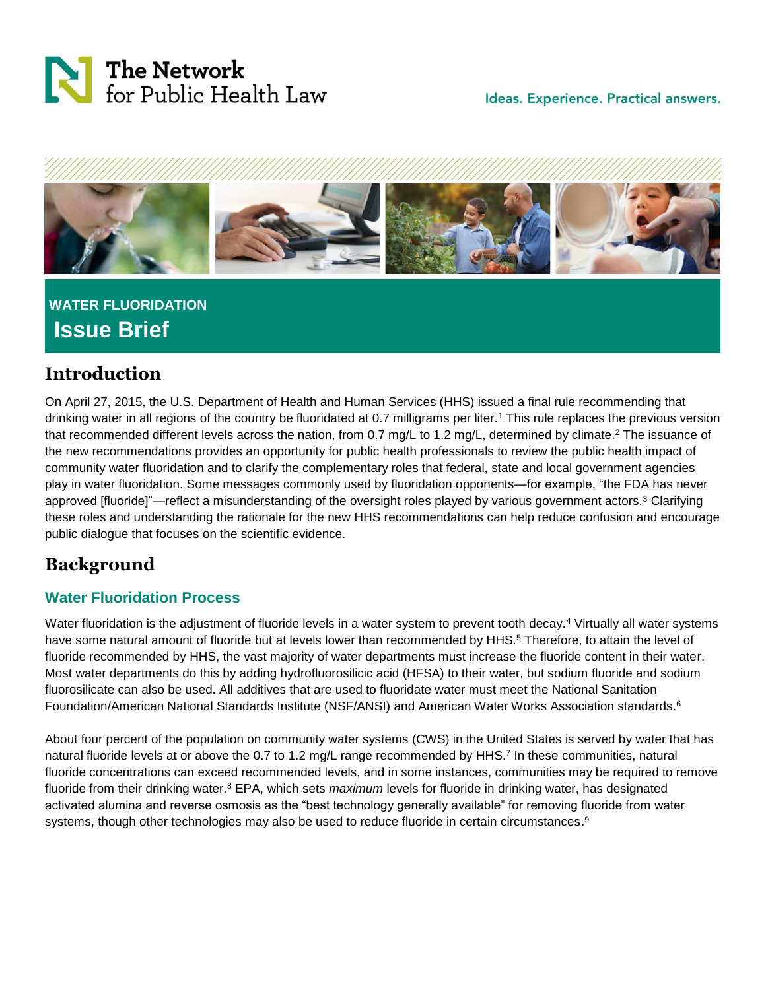



# **WATER FLUORIDATION Issue Brief**

## **Introduction**

On April 27, 2015, the U.S. Department of Health and Human Services (HHS) issued a final rule recommending that drinking water in all regions of the country be fluoridated at 0.7 milligrams per liter.<sup>1</sup> This rule replaces the previous version that recommended different levels across the nation, from 0.7 mg/L to 1.2 mg/L, determined by climate.<sup>2</sup> The issuance of the new recommendations provides an opportunity for public health professionals to review the public health impact of community water fluoridation and to clarify the complementary roles that federal, state and local government agencies play in water fluoridation. Some messages commonly used by fluoridation opponents—for example, "the FDA has never approved [fluoride]"—reflect a misunderstanding of the oversight roles played by various government actors.<sup>3</sup> Clarifying these roles and understanding the rationale for the new HHS recommendations can help reduce confusion and encourage public dialogue that focuses on the scientific evidence.

# **Background**

### **Water Fluoridation Process**

Water fluoridation is the adjustment of fluoride levels in a water system to prevent tooth decay.<sup>4</sup> Virtually all water systems have some natural amount of fluoride but at levels lower than recommended by HHS. <sup>5</sup> Therefore, to attain the level of fluoride recommended by HHS, the vast majority of water departments must increase the fluoride content in their water. Most water departments do this by adding hydrofluorosilicic acid (HFSA) to their water, but sodium fluoride and sodium fluorosilicate can also be used. All additives that are used to fluoridate water must meet the National Sanitation Foundation/American National Standards Institute (NSF/ANSI) and American Water Works Association standards. 6

About four percent of the population on community water systems (CWS) in the United States is served by water that has natural fluoride levels at or above the 0.7 to 1.2 mg/L range recommended by HHS.<sup>7</sup> In these communities, natural fluoride concentrations can exceed recommended levels, and in some instances, communities may be required to remove fluoride from their drinking water.<sup>8</sup> EPA, which sets *maximum* levels for fluoride in drinking water, has designated activated alumina and reverse osmosis as the "best technology generally available" for removing fluoride from water systems, though other technologies may also be used to reduce fluoride in certain circumstances.<sup>9</sup>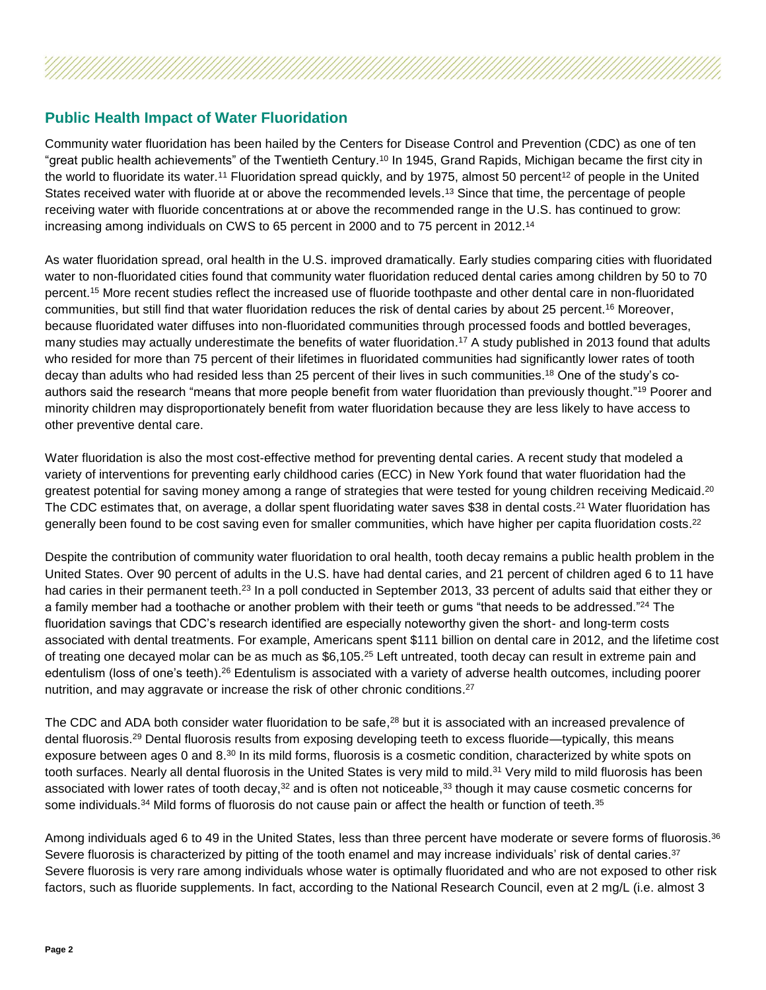#### **Public Health Impact of Water Fluoridation**

Community water fluoridation has been hailed by the Centers for Disease Control and Prevention (CDC) as one of ten "great public health achievements" of the Twentieth Century. <sup>10</sup> In 1945, Grand Rapids, Michigan became the first city in the world to fluoridate its water.<sup>11</sup> Fluoridation spread quickly, and by 1975, almost 50 percent<sup>12</sup> of people in the United States received water with fluoride at or above the recommended levels.<sup>13</sup> Since that time, the percentage of people receiving water with fluoride concentrations at or above the recommended range in the U.S. has continued to grow: increasing among individuals on CWS to 65 percent in 2000 and to 75 percent in 2012.<sup>14</sup>

As water fluoridation spread, oral health in the U.S. improved dramatically. Early studies comparing cities with fluoridated water to non-fluoridated cities found that community water fluoridation reduced dental caries among children by 50 to 70 percent.<sup>15</sup> More recent studies reflect the increased use of fluoride toothpaste and other dental care in non-fluoridated communities, but still find that water fluoridation reduces the risk of dental caries by about 25 percent.<sup>16</sup> Moreover, because fluoridated water diffuses into non-fluoridated communities through processed foods and bottled beverages, many studies may actually underestimate the benefits of water fluoridation.<sup>17</sup> A study published in 2013 found that adults who resided for more than 75 percent of their lifetimes in fluoridated communities had significantly lower rates of tooth decay than adults who had resided less than 25 percent of their lives in such communities. <sup>18</sup> One of the study's coauthors said the research "means that more people benefit from water fluoridation than previously thought."<sup>19</sup> Poorer and minority children may disproportionately benefit from water fluoridation because they are less likely to have access to other preventive dental care.

Water fluoridation is also the most cost-effective method for preventing dental caries. A recent study that modeled a variety of interventions for preventing early childhood caries (ECC) in New York found that water fluoridation had the greatest potential for saving money among a range of strategies that were tested for young children receiving Medicaid.<sup>20</sup> The CDC estimates that, on average, a dollar spent fluoridating water saves \$38 in dental costs.<sup>21</sup> Water fluoridation has generally been found to be cost saving even for smaller communities, which have higher per capita fluoridation costs.<sup>22</sup>

Despite the contribution of community water fluoridation to oral health, tooth decay remains a public health problem in the United States. Over 90 percent of adults in the U.S. have had dental caries, and 21 percent of children aged 6 to 11 have had caries in their permanent teeth.<sup>23</sup> In a poll conducted in September 2013, 33 percent of adults said that either they or a family member had a toothache or another problem with their teeth or gums "that needs to be addressed."<sup>24</sup> The fluoridation savings that CDC's research identified are especially noteworthy given the short- and long-term costs associated with dental treatments. For example, Americans spent \$111 billion on dental care in 2012, and the lifetime cost of treating one decayed molar can be as much as \$6,105.<sup>25</sup> Left untreated, tooth decay can result in extreme pain and edentulism (loss of one's teeth).<sup>26</sup> Edentulism is associated with a variety of adverse health outcomes, including poorer nutrition, and may aggravate or increase the risk of other chronic conditions.<sup>27</sup>

The CDC and ADA both consider water fluoridation to be safe,<sup>28</sup> but it is associated with an increased prevalence of dental fluorosis.<sup>29</sup> Dental fluorosis results from exposing developing teeth to excess fluoride—typically, this means exposure between ages 0 and 8.<sup>30</sup> In its mild forms, fluorosis is a cosmetic condition, characterized by white spots on tooth surfaces. Nearly all dental fluorosis in the United States is very mild to mild.<sup>31</sup> Very mild to mild fluorosis has been associated with lower rates of tooth decay, $32$  and is often not noticeable, $33$  though it may cause cosmetic concerns for some individuals.<sup>34</sup> Mild forms of fluorosis do not cause pain or affect the health or function of teeth.<sup>35</sup>

Among individuals aged 6 to 49 in the United States, less than three percent have moderate or severe forms of fluorosis.<sup>36</sup> Severe fluorosis is characterized by pitting of the tooth enamel and may increase individuals' risk of dental caries.<sup>37</sup> Severe fluorosis is very rare among individuals whose water is optimally fluoridated and who are not exposed to other risk factors, such as fluoride supplements. In fact, according to the National Research Council, even at 2 mg/L (i.e. almost 3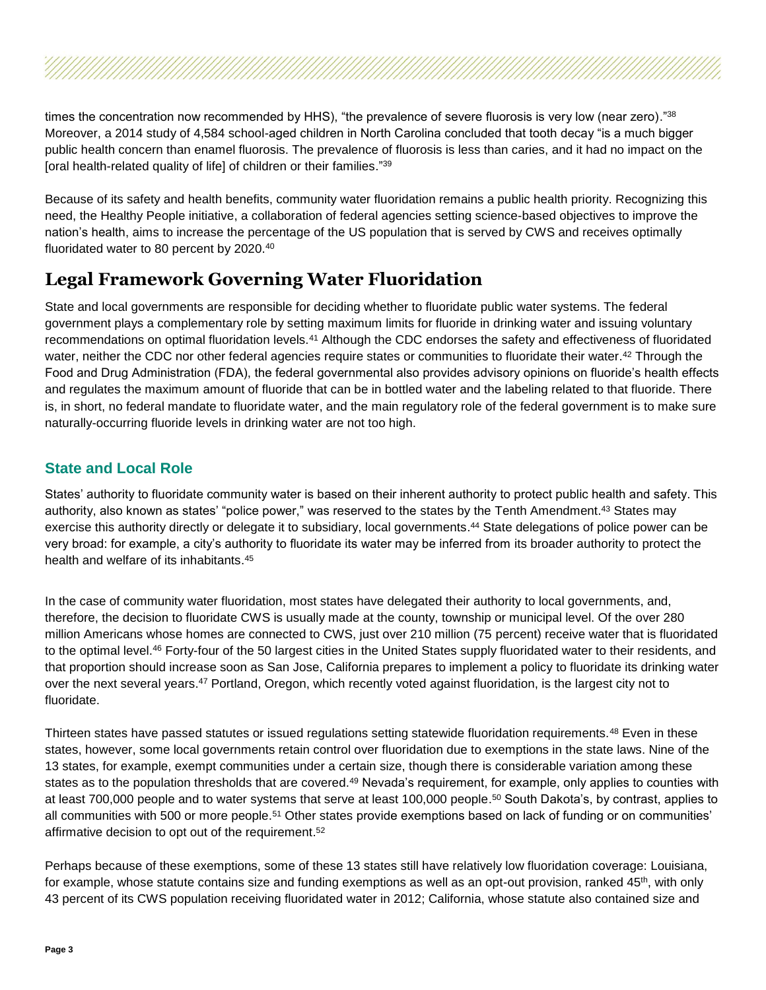times the concentration now recommended by HHS), "the prevalence of severe fluorosis is very low (near zero)."<sup>38</sup> Moreover, a 2014 study of 4,584 school-aged children in North Carolina concluded that tooth decay "is a much bigger public health concern than enamel fluorosis. The prevalence of fluorosis is less than caries, and it had no impact on the [oral health-related quality of life] of children or their families." 39

Because of its safety and health benefits, community water fluoridation remains a public health priority. Recognizing this need, the Healthy People initiative, a collaboration of federal agencies setting science-based objectives to improve the nation's health, aims to increase the percentage of the US population that is served by CWS and receives optimally fluoridated water to 80 percent by 2020.<sup>40</sup>

### **Legal Framework Governing Water Fluoridation**

State and local governments are responsible for deciding whether to fluoridate public water systems. The federal government plays a complementary role by setting maximum limits for fluoride in drinking water and issuing voluntary recommendations on optimal fluoridation levels.<sup>41</sup> Although the CDC endorses the safety and effectiveness of fluoridated water, neither the CDC nor other federal agencies require states or communities to fluoridate their water.<sup>42</sup> Through the Food and Drug Administration (FDA), the federal governmental also provides advisory opinions on fluoride's health effects and regulates the maximum amount of fluoride that can be in bottled water and the labeling related to that fluoride. There is, in short, no federal mandate to fluoridate water, and the main regulatory role of the federal government is to make sure naturally-occurring fluoride levels in drinking water are not too high.

#### **State and Local Role**

States' authority to fluoridate community water is based on their inherent authority to protect public health and safety. This authority, also known as states' "police power," was reserved to the states by the Tenth Amendment.<sup>43</sup> States may exercise this authority directly or delegate it to subsidiary, local governments. <sup>44</sup> State delegations of police power can be very broad: for example, a city's authority to fluoridate its water may be inferred from its broader authority to protect the health and welfare of its inhabitants. 45

In the case of community water fluoridation, most states have delegated their authority to local governments, and, therefore, the decision to fluoridate CWS is usually made at the county, township or municipal level. Of the over 280 million Americans whose homes are connected to CWS, just over 210 million (75 percent) receive water that is fluoridated to the optimal level.<sup>46</sup> Forty-four of the 50 largest cities in the United States supply fluoridated water to their residents, and that proportion should increase soon as San Jose, California prepares to implement a policy to fluoridate its drinking water over the next several years.<sup>47</sup> Portland, Oregon, which recently voted against fluoridation, is the largest city not to fluoridate.

Thirteen states have passed statutes or issued regulations setting statewide fluoridation requirements.<sup>48</sup> Even in these states, however, some local governments retain control over fluoridation due to exemptions in the state laws. Nine of the 13 states, for example, exempt communities under a certain size, though there is considerable variation among these states as to the population thresholds that are covered.<sup>49</sup> Nevada's requirement, for example, only applies to counties with at least 700,000 people and to water systems that serve at least 100,000 people. <sup>50</sup> South Dakota's, by contrast, applies to all communities with 500 or more people.<sup>51</sup> Other states provide exemptions based on lack of funding or on communities' affirmative decision to opt out of the requirement. 52

Perhaps because of these exemptions, some of these 13 states still have relatively low fluoridation coverage: Louisiana, for example, whose statute contains size and funding exemptions as well as an opt-out provision, ranked  $45<sup>th</sup>$ , with only 43 percent of its CWS population receiving fluoridated water in 2012; California, whose statute also contained size and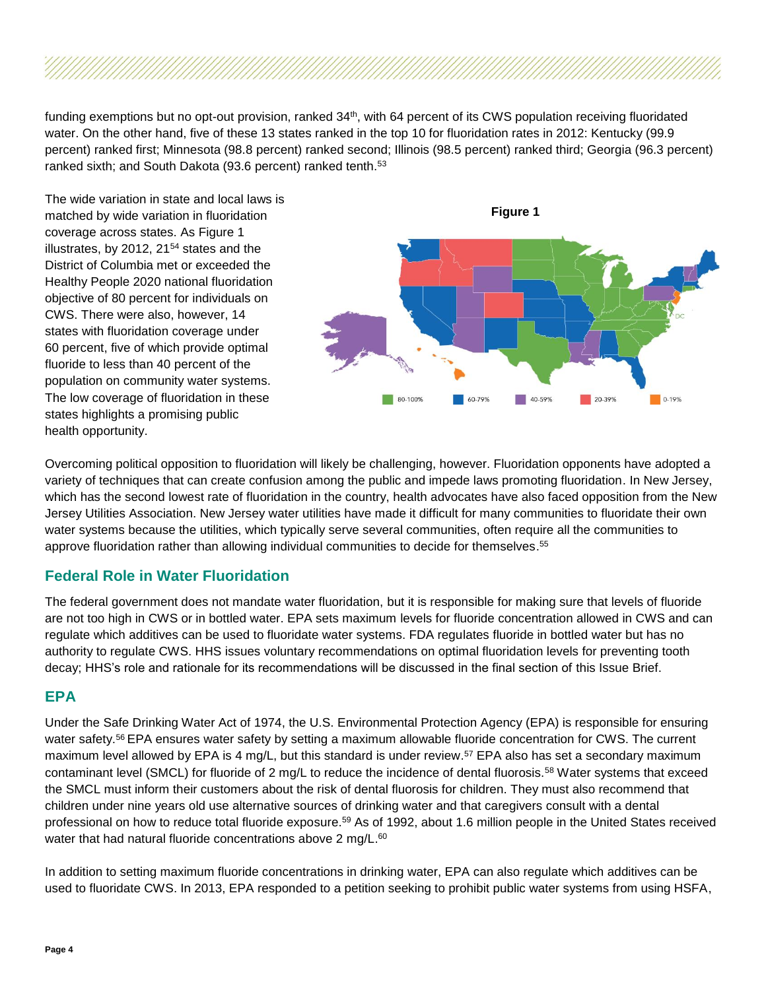funding exemptions but no opt-out provision, ranked 34<sup>th</sup>, with 64 percent of its CWS population receiving fluoridated water. On the other hand, five of these 13 states ranked in the top 10 for fluoridation rates in 2012: Kentucky (99.9 percent) ranked first; Minnesota (98.8 percent) ranked second; Illinois (98.5 percent) ranked third; Georgia (96.3 percent) ranked sixth; and South Dakota (93.6 percent) ranked tenth.<sup>53</sup>

The wide variation in state and local laws is matched by wide variation in fluoridation coverage across states. As Figure 1 illustrates, by 2012, 21<sup>54</sup> states and the District of Columbia met or exceeded the Healthy People 2020 national fluoridation objective of 80 percent for individuals on CWS. There were also, however, 14 states with fluoridation coverage under 60 percent, five of which provide optimal fluoride to less than 40 percent of the population on community water systems. The low coverage of fluoridation in these states highlights a promising public health opportunity.



Overcoming political opposition to fluoridation will likely be challenging, however. Fluoridation opponents have adopted a variety of techniques that can create confusion among the public and impede laws promoting fluoridation. In New Jersey, which has the second lowest rate of fluoridation in the country, health advocates have also faced opposition from the New Jersey Utilities Association. New Jersey water utilities have made it difficult for many communities to fluoridate their own water systems because the utilities, which typically serve several communities, often require all the communities to approve fluoridation rather than allowing individual communities to decide for themselves. 55

#### **Federal Role in Water Fluoridation**

The federal government does not mandate water fluoridation, but it is responsible for making sure that levels of fluoride are not too high in CWS or in bottled water. EPA sets maximum levels for fluoride concentration allowed in CWS and can regulate which additives can be used to fluoridate water systems. FDA regulates fluoride in bottled water but has no authority to regulate CWS. HHS issues voluntary recommendations on optimal fluoridation levels for preventing tooth decay; HHS's role and rationale for its recommendations will be discussed in the final section of this Issue Brief.

#### **EPA**

Under the Safe Drinking Water Act of 1974, the U.S. Environmental Protection Agency (EPA) is responsible for ensuring water safety.<sup>56</sup> EPA ensures water safety by setting a maximum allowable fluoride concentration for CWS. The current maximum level allowed by EPA is 4 mg/L, but this standard is under review.<sup>57</sup> EPA also has set a secondary maximum contaminant level (SMCL) for fluoride of 2 mg/L to reduce the incidence of dental fluorosis.<sup>58</sup> Water systems that exceed the SMCL must inform their customers about the risk of dental fluorosis for children. They must also recommend that children under nine years old use alternative sources of drinking water and that caregivers consult with a dental professional on how to reduce total fluoride exposure.<sup>59</sup> As of 1992, about 1.6 million people in the United States received water that had natural fluoride concentrations above 2 mg/L.<sup>60</sup>

In addition to setting maximum fluoride concentrations in drinking water, EPA can also regulate which additives can be used to fluoridate CWS. In 2013, EPA responded to a petition seeking to prohibit public water systems from using HSFA,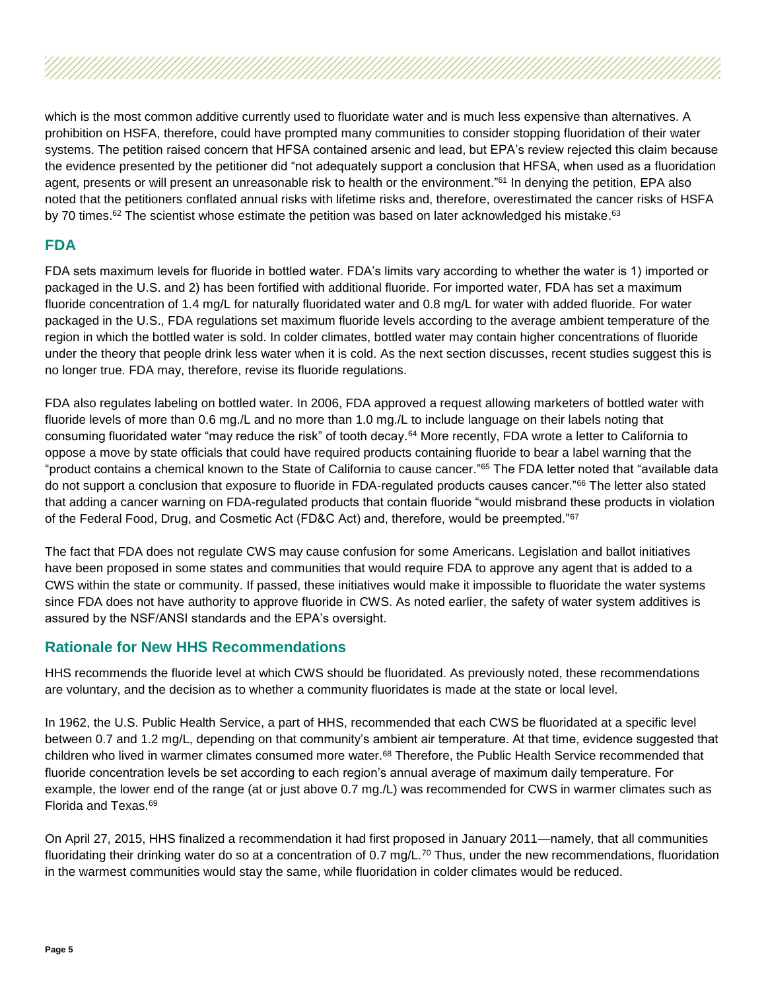which is the most common additive currently used to fluoridate water and is much less expensive than alternatives. A prohibition on HSFA, therefore, could have prompted many communities to consider stopping fluoridation of their water systems. The petition raised concern that HFSA contained arsenic and lead, but EPA's review rejected this claim because the evidence presented by the petitioner did "not adequately support a conclusion that HFSA, when used as a fluoridation agent, presents or will present an unreasonable risk to health or the environment." <sup>61</sup> In denying the petition, EPA also noted that the petitioners conflated annual risks with lifetime risks and, therefore, overestimated the cancer risks of HSFA by 70 times.<sup>62</sup> The scientist whose estimate the petition was based on later acknowledged his mistake.<sup>63</sup>

#### **FDA**

FDA sets maximum levels for fluoride in bottled water. FDA's limits vary according to whether the water is 1) imported or packaged in the U.S. and 2) has been fortified with additional fluoride. For imported water, FDA has set a maximum fluoride concentration of 1.4 mg/L for naturally fluoridated water and 0.8 mg/L for water with added fluoride. For water packaged in the U.S., FDA regulations set maximum fluoride levels according to the average ambient temperature of the region in which the bottled water is sold. In colder climates, bottled water may contain higher concentrations of fluoride under the theory that people drink less water when it is cold. As the next section discusses, recent studies suggest this is no longer true. FDA may, therefore, revise its fluoride regulations.

FDA also regulates labeling on bottled water. In 2006, FDA approved a request allowing marketers of bottled water with fluoride levels of more than 0.6 mg./L and no more than 1.0 mg./L to include language on their labels noting that consuming fluoridated water "may reduce the risk" of tooth decay.<sup>64</sup> More recently, FDA wrote a letter to California to oppose a move by state officials that could have required products containing fluoride to bear a label warning that the "product contains a chemical known to the State of California to cause cancer." <sup>65</sup> The FDA letter noted that "available data do not support a conclusion that exposure to fluoride in FDA-regulated products causes cancer."<sup>66</sup> The letter also stated that adding a cancer warning on FDA-regulated products that contain fluoride "would misbrand these products in violation of the Federal Food, Drug, and Cosmetic Act (FD&C Act) and, therefore, would be preempted."<sup>67</sup>

The fact that FDA does not regulate CWS may cause confusion for some Americans. Legislation and ballot initiatives have been proposed in some states and communities that would require FDA to approve any agent that is added to a CWS within the state or community. If passed, these initiatives would make it impossible to fluoridate the water systems since FDA does not have authority to approve fluoride in CWS. As noted earlier, the safety of water system additives is assured by the NSF/ANSI standards and the EPA's oversight.

#### **Rationale for New HHS Recommendations**

HHS recommends the fluoride level at which CWS should be fluoridated. As previously noted, these recommendations are voluntary, and the decision as to whether a community fluoridates is made at the state or local level.

In 1962, the U.S. Public Health Service, a part of HHS, recommended that each CWS be fluoridated at a specific level between 0.7 and 1.2 mg/L, depending on that community's ambient air temperature. At that time, evidence suggested that children who lived in warmer climates consumed more water.<sup>68</sup> Therefore, the Public Health Service recommended that fluoride concentration levels be set according to each region's annual average of maximum daily temperature. For example, the lower end of the range (at or just above 0.7 mg./L) was recommended for CWS in warmer climates such as Florida and Texas.<sup>69</sup>

On April 27, 2015, HHS finalized a recommendation it had first proposed in January 2011—namely, that all communities fluoridating their drinking water do so at a concentration of 0.7 mg/ $L^{70}$  Thus, under the new recommendations, fluoridation in the warmest communities would stay the same, while fluoridation in colder climates would be reduced.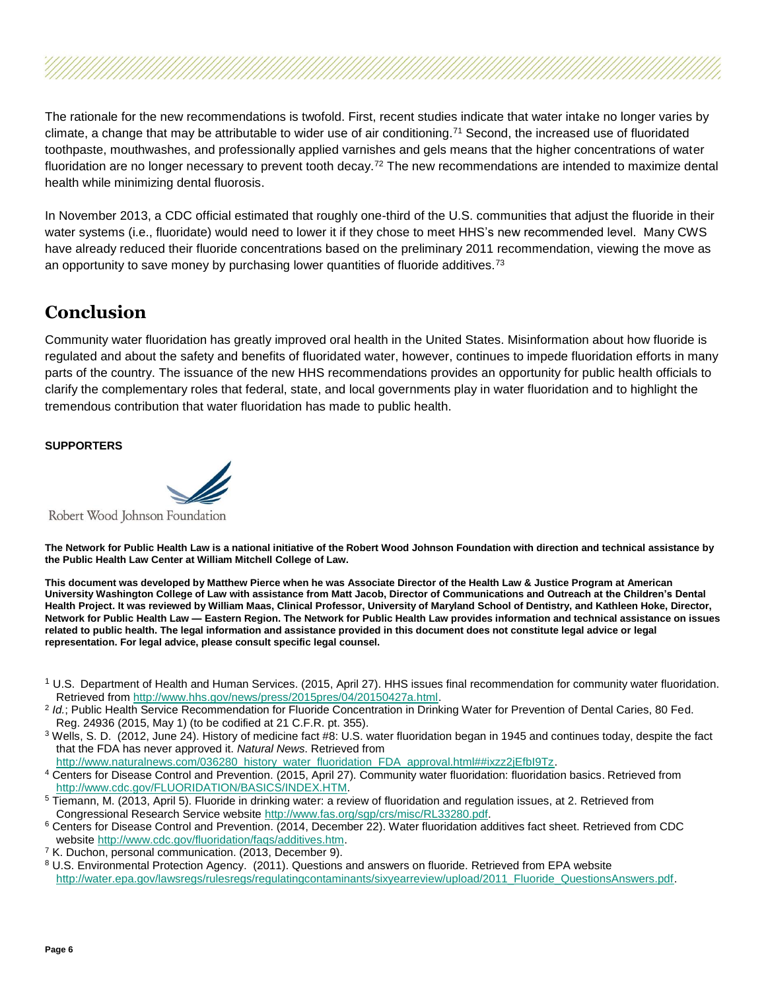The rationale for the new recommendations is twofold. First, recent studies indicate that water intake no longer varies by climate, a change that may be attributable to wider use of air conditioning.<sup>71</sup> Second, the increased use of fluoridated toothpaste, mouthwashes, and professionally applied varnishes and gels means that the higher concentrations of water fluoridation are no longer necessary to prevent tooth decay.<sup>72</sup> The new recommendations are intended to maximize dental health while minimizing dental fluorosis.

In November 2013, a CDC official estimated that roughly one-third of the U.S. communities that adjust the fluoride in their water systems (i.e., fluoridate) would need to lower it if they chose to meet HHS's new recommended level. Many CWS have already reduced their fluoride concentrations based on the preliminary 2011 recommendation, viewing the move as an opportunity to save money by purchasing lower quantities of fluoride additives.<sup>73</sup>

### **Conclusion**

Community water fluoridation has greatly improved oral health in the United States. Misinformation about how fluoride is regulated and about the safety and benefits of fluoridated water, however, continues to impede fluoridation efforts in many parts of the country. The issuance of the new HHS recommendations provides an opportunity for public health officials to clarify the complementary roles that federal, state, and local governments play in water fluoridation and to highlight the tremendous contribution that water fluoridation has made to public health.

#### **SUPPORTERS**

Robert Wood Johnson Foundation

**The Network for Public Health Law is a national initiative of the Robert Wood Johnson Foundation with direction and technical assistance by the Public Health Law Center at William Mitchell College of Law.** 

**This document was developed by Matthew Pierce when he was Associate Director of the Health Law & Justice Program at American University Washington College of Law with assistance from Matt Jacob, Director of Communications and Outreach at the Children's Dental Health Project. It was reviewed by William Maas, Clinical Professor, University of Maryland School of Dentistry, and Kathleen Hoke, Director, Network for Public Health Law — Eastern Region. The Network for Public Health Law provides information and technical assistance on issues related to public health. The legal information and assistance provided in this document does not constitute legal advice or legal representation. For legal advice, please consult specific legal counsel.**

- <sup>1</sup> U.S. Department of Health and Human Services. (2015, April 27). HHS issues final recommendation for community water fluoridation. Retrieved from [http://www.hhs.gov/news/press/2015pres/04/20150427a.html.](http://www.hhs.gov/news/press/2015pres/04/20150427a.html)
- <sup>2</sup> Id.; Public Health Service Recommendation for Fluoride Concentration in Drinking Water for Prevention of Dental Caries, 80 Fed. Reg. 24936 (2015, May 1) (to be codified at 21 C.F.R. pt. 355).
- <sup>3</sup> Wells, S. D. (2012, June 24). History of medicine fact #8: U.S. water fluoridation began in 1945 and continues today, despite the fact that the FDA has never approved it. *Natural News*. Retrieved from

[http://www.naturalnews.com/036280\\_history\\_water\\_fluoridation\\_FDA\\_approval.html##ixzz2jEfbI9Tz.](http://www.naturalnews.com/036280_history_water_fluoridation_FDA_approval.html)

- <sup>4</sup> Centers for Disease Control and Prevention. (2015, April 27). Community water fluoridation: fluoridation basics. Retrieved from [http://www.cdc.gov/FLUORIDATION/BASICS/INDEX.HTM.](http://www.cdc.gov/FLUORIDATION/BASICS/INDEX.HTM)
- <sup>5</sup> Tiemann, M. (2013, April 5). Fluoride in drinking water: a review of fluoridation and regulation issues, at 2. Retrieved from Congressional Research Service website [http://www.fas.org/sgp/crs/misc/RL33280.pdf.](http://www.fas.org/sgp/crs/misc/RL33280.pdf)
- <sup>6</sup> Centers for Disease Control and Prevention. (2014, December 22). Water fluoridation additives fact sheet. Retrieved from CDC website [http://www.cdc.gov/fluoridation/faqs/additives.htm.](http://www.cdc.gov/fluoridation/faqs/additives.htm)
- <sup>7</sup> K. Duchon, personal communication. (2013, December 9).
- <sup>8</sup> U.S. Environmental Protection Agency. (2011). Questions and answers on fluoride. Retrieved from EPA website [http://water.epa.gov/lawsregs/rulesregs/regulatingcontaminants/sixyearreview/upload/2011\\_Fluoride\\_QuestionsAnswers.pdf.](http://water.epa.gov/lawsregs/rulesregs/regulatingcontaminants/sixyearreview/upload/2011_Fluoride_QuestionsAnswers.pdf)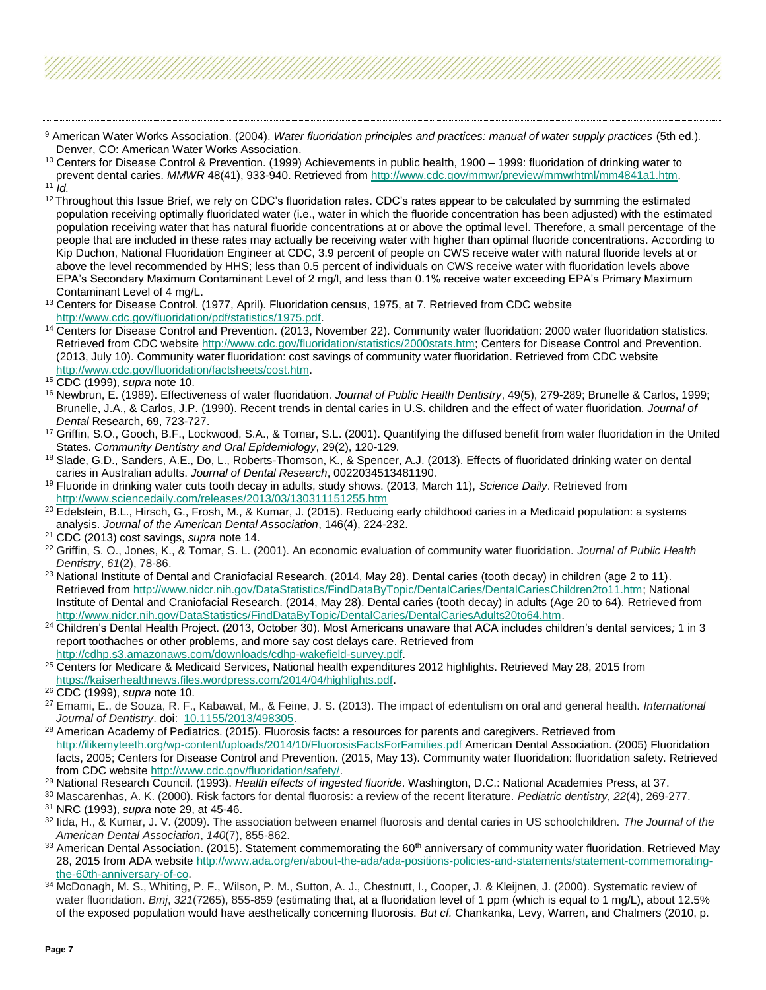<sup>9</sup> American Water Works Association. (2004). *Water fluoridation principles and practices: manual of water supply practices* (5th ed.)*.*  Denver, CO: American Water Works Association.

- 12 Throughout this Issue Brief, we rely on CDC's fluoridation rates. CDC's rates appear to be calculated by summing the estimated population receiving optimally fluoridated water (i.e., water in which the fluoride concentration has been adjusted) with the estimated population receiving water that has natural fluoride concentrations at or above the optimal level. Therefore, a small percentage of the people that are included in these rates may actually be receiving water with higher than optimal fluoride concentrations. According to Kip Duchon, National Fluoridation Engineer at CDC, 3.9 percent of people on CWS receive water with natural fluoride levels at or above the level recommended by HHS; less than 0.5 percent of individuals on CWS receive water with fluoridation levels above EPA's Secondary Maximum Contaminant Level of 2 mg/l, and less than 0.1% receive water exceeding EPA's Primary Maximum Contaminant Level of 4 mg/L.
- <sup>13</sup> Centers for Disease Control. (1977, April). Fluoridation census, 1975, at 7. Retrieved from CDC website [http://www.cdc.gov/fluoridation/pdf/statistics/1975.pdf.](http://www.cdc.gov/fluoridation/pdf/statistics/1975.pdf)
- <sup>14</sup> Centers for Disease Control and Prevention. (2013, November 22). Community water fluoridation: 2000 water fluoridation statistics. Retrieved from CDC website [http://www.cdc.gov/fluoridation/statistics/2000stats.htm;](http://www.cdc.gov/fluoridation/statistics/2000stats.htm) Centers for Disease Control and Prevention. (2013, July 10). Community water fluoridation: cost savings of community water fluoridation. Retrieved from CDC website [http://www.cdc.gov/fluoridation/factsheets/cost.htm.](http://www.cdc.gov/fluoridation/factsheets/cost.htm)

- <sup>16</sup> Newbrun, E. (1989). Effectiveness of water fluoridation. *Journal of Public Health Dentistry*, 49(5), 279-289; Brunelle & Carlos, 1999; Brunelle, J.A., & Carlos, J.P. (1990). Recent trends in dental caries in U.S. children and the effect of water fluoridation*. Journal of Dental* Research, 69, 723-727.
- <sup>17</sup> Griffin, S.O., Gooch, B.F., Lockwood, S.A., & Tomar, S.L. (2001). Quantifying the diffused benefit from water fluoridation in the United States. *Community Dentistry and Oral Epidemiology*, 29(2), 120-129.
- <sup>18</sup> Slade, G.D., Sanders, A.E., Do, L., Roberts-Thomson, K., & Spencer, A.J. (2013). Effects of fluoridated drinking water on dental caries in Australian adults. *Journal of Dental Research*, 0022034513481190.
- <sup>19</sup> Fluoride in drinking water cuts tooth decay in adults, study shows. (2013, March 11), *Science Daily*. Retrieved from <http://www.sciencedaily.com/releases/2013/03/130311151255.htm>
- <sup>20</sup> Edelstein, B.L., Hirsch, G., Frosh, M., & Kumar, J. (2015). Reducing early childhood caries in a Medicaid population: a systems analysis. *Journal of the American Dental Association*, 146(4), 224-232.
- <sup>21</sup> CDC (2013) cost savings, *supra* note 14.
- <sup>22</sup> Griffin, S. O., Jones, K., & Tomar, S. L. (2001). An economic evaluation of community water fluoridation. *Journal of Public Health Dentistry*, *61*(2), 78-86.
- <sup>23</sup> National Institute of Dental and Craniofacial Research. (2014, May 28). Dental caries (tooth decay) in children (age 2 to 11). Retrieved fro[m http://www.nidcr.nih.gov/DataStatistics/FindDataByTopic/DentalCaries/DentalCariesChildren2to11.htm;](http://www.nidcr.nih.gov/DataStatistics/FindDataByTopic/DentalCaries/DentalCariesChildren2to11.htm) National Institute of Dental and Craniofacial Research. (2014, May 28). Dental caries (tooth decay) in adults (Age 20 to 64). Retrieved from [http://www.nidcr.nih.gov/DataStatistics/FindDataByTopic/DentalCaries/DentalCariesAdults20to64.htm.](http://www.nidcr.nih.gov/DataStatistics/FindDataByTopic/DentalCaries/DentalCariesAdults20to64.htm)
- <sup>24</sup> Children's Dental Health Project. (2013, October 30). Most Americans unaware that ACA includes children's dental services*;* 1 in 3 report toothaches or other problems, and more say cost delays care. Retrieved from [http://cdhp.s3.amazonaws.com/downloads/cdhp-wakefield-survey.pdf.](http://cdhp.s3.amazonaws.com/downloads/cdhp-wakefield-survey.pdf)
- <sup>25</sup> Centers for Medicare & Medicaid Services, National health expenditures 2012 highlights. Retrieved May 28, 2015 from [https://kaiserhealthnews.files.wordpress.com/2014/04/highlights.pdf.](https://kaiserhealthnews.files.wordpress.com/2014/04/highlights.pdf)

- <sup>27</sup> Emami, E., de Souza, R. F., Kabawat, M., & Feine, J. S. (2013). The impact of edentulism on oral and general health. *International Journal of Dentistry*. doi: [10.1155/2013/498305.](http://dx.doi.org/10.1155%2F2013%2F498305)
- <sup>28</sup> American Academy of Pediatrics. (2015). Fluorosis facts: a resources for parents and caregivers. Retrieved from <http://ilikemyteeth.org/wp-content/uploads/2014/10/FluorosisFactsForFamilies.pdf> American Dental Association. (2005) Fluoridation facts, 2005; Centers for Disease Control and Prevention. (2015, May 13). Community water fluoridation: fluoridation safety. Retrieved from CDC websit[e http://www.cdc.gov/fluoridation/safety/.](http://www.cdc.gov/fluoridation/safety/)
- <sup>29</sup> National Research Council. (1993). *Health effects of ingested fluoride*. Washington, D.C.: National Academies Press, at 37.
- <sup>30</sup> Mascarenhas, A. K. (2000). Risk factors for dental fluorosis: a review of the recent literature. *Pediatric dentistry*, *22*(4), 269-277. <sup>31</sup> NRC (1993), *supra* note 29, at 45-46.
- <sup>32</sup> Iida, H., & Kumar, J. V. (2009). The association between enamel fluorosis and dental caries in US schoolchildren. *The Journal of the American Dental Association*, *140*(7), 855-862.
- 33 American Dental Association. (2015). Statement commemorating the 60<sup>th</sup> anniversary of community water fluoridation. Retrieved May 28, 2015 from ADA website [http://www.ada.org/en/about-the-ada/ada-positions-policies-and-statements/statement-commemorating](http://www.ada.org/en/about-the-ada/ada-positions-policies-and-statements/statement-commemorating-the-60th-anniversary-of-co)[the-60th-anniversary-of-co.](http://www.ada.org/en/about-the-ada/ada-positions-policies-and-statements/statement-commemorating-the-60th-anniversary-of-co)
- 34 McDonagh, M. S., Whiting, P. F., Wilson, P. M., Sutton, A. J., Chestnutt, I., Cooper, J. & Kleijnen, J. (2000). Systematic review of water fluoridation. *Bmj*, *321*(7265), 855-859 (estimating that, at a fluoridation level of 1 ppm (which is equal to 1 mg/L), about 12.5% of the exposed population would have aesthetically concerning fluorosis. *But cf.* Chankanka, Levy, Warren, and Chalmers (2010, p.

 $10$  Centers for Disease Control & Prevention. (1999) Achievements in public health, 1900 – 1999: fluoridation of drinking water to prevent dental caries. MMWR 48(41), 933-940. Retrieved fro[m http://www.cdc.gov/mmwr/preview/mmwrhtml/mm4841a1.htm.](http://www.cdc.gov/mmwr/preview/mmwrhtml/mm4841a1.htm) <sup>11</sup> *Id.*

<sup>15</sup> CDC (1999), *supra* note 10.

<sup>26</sup> CDC (1999), *supra* note 10.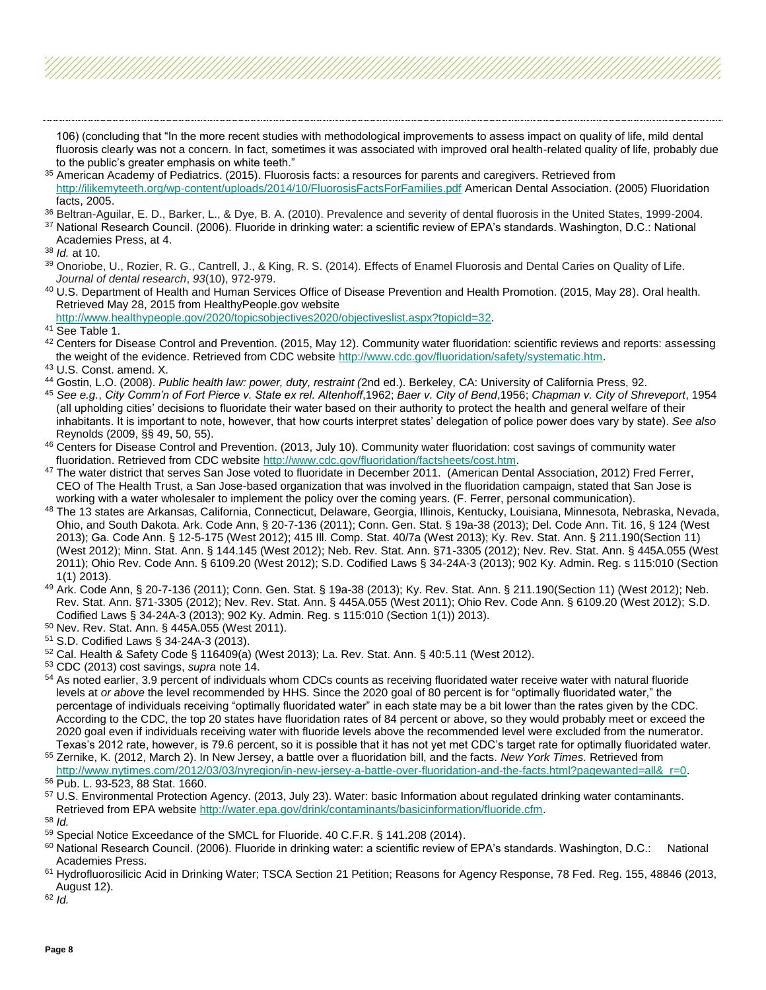106) (concluding that "In the more recent studies with methodological improvements to assess impact on quality of life, mild dental fluorosis clearly was not a concern. In fact, sometimes it was associated with improved oral health-related quality of life, probably due to the public's greater emphasis on white teeth."

- <sup>35</sup> American Academy of Pediatrics. (2015). Fluorosis facts: a resources for parents and caregivers. Retrieved from <http://ilikemyteeth.org/wp-content/uploads/2014/10/FluorosisFactsForFamilies.pdf> American Dental Association. (2005) Fluoridation facts, 2005.
- 36 Beltran-Aquilar, E. D., Barker, L., & Dye, B. A. (2010). Prevalence and severity of dental fluorosis in the United States, 1999-2004.
- <sup>37</sup> National Research Council. (2006). Fluoride in drinking water: a scientific review of EPA's standards. Washington, D.C.: National Academies Press, at 4.

```
38 Id. at 10.
```
- 39 Onoriobe, U., Rozier, R. G., Cantrell, J., & King, R. S. (2014). Effects of Enamel Fluorosis and Dental Caries on Quality of Life. *Journal of dental research*, *93*(10), 972-979.
- <sup>40</sup> U.S. Department of Health and Human Services Office of Disease Prevention and Health Promotion. (2015, May 28). Oral health. Retrieved May 28, 2015 from HealthyPeople.gov website
- [http://www.healthypeople.gov/2020/topicsobjectives2020/objectiveslist.aspx?topicId=32.](http://www.healthypeople.gov/2020/topicsobjectives2020/objectiveslist.aspx?topicId=32)
- <sup>41</sup> See Table 1.
- 42 Centers for Disease Control and Prevention. (2015, May 12). Community water fluoridation: scientific reviews and reports: assessing the weight of the evidence. Retrieved from CDC website [http://www.cdc.gov/fluoridation/safety/systematic.htm.](http://www.cdc.gov/fluoridation/safety/systematic.htm)
- <sup>43</sup> U.S. Const. amend. X.
- <sup>44</sup> Gostin, L.O. (2008). *Public health law: power, duty, restraint (*2nd ed.). Berkeley, CA: University of California Press, 92.
- <sup>45</sup> *See e.g.*, *City Comm'n of Fort Pierce v. State ex rel. Altenhoff*,1962; *Baer v. City of Bend*,1956; *Chapman v. City of Shreveport*, 1954 (all upholding cities' decisions to fluoridate their water based on their authority to protect the health and general welfare of their inhabitants. It is important to note, however, that how courts interpret states' delegation of police power does vary by state). *See also* Reynolds (2009, §§ 49, 50, 55).
- 46 Centers for Disease Control and Prevention. (2013, July 10). Community water fluoridation: cost savings of community water fluoridation. Retrieved from CDC website [http://www.cdc.gov/fluoridation/factsheets/cost.htm.](http://www.cdc.gov/fluoridation/factsheets/cost.htm)
- 47 The water district that serves San Jose voted to fluoridate in December 2011. (American Dental Association, 2012) Fred Ferrer, CEO of The Health Trust, a San Jose-based organization that was involved in the fluoridation campaign, stated that San Jose is working with a water wholesaler to implement the policy over the coming years. (F. Ferrer, personal communication).
- <sup>48</sup> The 13 states are Arkansas, California, Connecticut, Delaware, Georgia, Illinois, Kentucky, Louisiana, Minnesota, Nebraska, Nevada, Ohio, and South Dakota. Ark. Code Ann, § 20-7-136 (2011); Conn. Gen. Stat. § 19a-38 (2013); Del. Code Ann. Tit. 16, § 124 (West 2013); Ga. Code Ann. § 12-5-175 (West 2012); 415 Ill. Comp. Stat. 40/7a (West 2013); Ky. Rev. Stat. Ann. § 211.190(Section 11) (West 2012); Minn. Stat. Ann. § 144.145 (West 2012); Neb. Rev. Stat. Ann. §71-3305 (2012); Nev. Rev. Stat. Ann. § 445A.055 (West 2011); Ohio Rev. Code Ann. § 6109.20 (West 2012); S.D. Codified Laws § 34-24A-3 (2013); 902 Ky. Admin. Reg. s 115:010 (Section 1(1) 2013).
- <sup>49</sup> Ark. Code Ann, § 20-7-136 (2011); Conn. Gen. Stat. § 19a-38 (2013); Ky. Rev. Stat. Ann. § 211.190(Section 11) (West 2012); Neb. Rev. Stat. Ann. §71-3305 (2012); Nev. Rev. Stat. Ann. § 445A.055 (West 2011); Ohio Rev. Code Ann. § 6109.20 (West 2012); S.D. Codified Laws § 34-24A-3 (2013); 902 Ky. Admin. Reg. s 115:010 (Section 1(1)) 2013).
- <sup>50</sup> Nev. Rev. Stat. Ann. § 445A.055 (West 2011).
- <sup>51</sup> S.D. Codified Laws § 34-24A-3 (2013).
- $52$  Cal. Health & Safety Code § 116409(a) (West 2013); La. Rev. Stat. Ann. § 40:5.11 (West 2012).
- <sup>53</sup> CDC (2013) cost savings, *supra* note 14.
- 54 As noted earlier, 3.9 percent of individuals whom CDCs counts as receiving fluoridated water receive water with natural fluoride levels at *or above* the level recommended by HHS. Since the 2020 goal of 80 percent is for "optimally fluoridated water," the percentage of individuals receiving "optimally fluoridated water" in each state may be a bit lower than the rates given by the CDC. According to the CDC, the top 20 states have fluoridation rates of 84 percent or above, so they would probably meet or exceed the 2020 goal even if individuals receiving water with fluoride levels above the recommended level were excluded from the numerator. Texas's 2012 rate, however, is 79.6 percent, so it is possible that it has not yet met CDC's target rate for optimally fluoridated water.
- <sup>55</sup> Zernike, K. (2012, March 2). In New Jersey, a battle over a fluoridation bill, and the facts. *New York Times.* Retrieved from [http://www.nytimes.com/2012/03/03/nyregion/in-new-jersey-a-battle-over-fluoridation-and-the-facts.html?pagewanted=all&\\_r=0.](http://www.nytimes.com/2012/03/03/nyregion/in-new-jersey-a-battle-over-fluoridation-and-the-facts.html?pagewanted=all&_r=0)

<sup>56</sup> Pub. L. 93-523, 88 Stat. 1660.

- <sup>57</sup> U.S. Environmental Protection Agency. (2013, July 23). Water: basic Information about regulated drinking water contaminants. Retrieved from EPA websit[e http://water.epa.gov/drink/contaminants/basicinformation/fluoride.cfm.](http://water.epa.gov/drink/contaminants/basicinformation/fluoride.cfm)
- <sup>58</sup> *Id.*

- 60 National Research Council. (2006). Fluoride in drinking water: a scientific review of EPA's standards. Washington, D.C.: National Academies Press.
- <sup>61</sup> Hydrofluorosilicic Acid in Drinking Water; TSCA Section 21 Petition; Reasons for Agency Response, 78 Fed. Reg. 155, 48846 (2013, August 12).

<sup>62</sup> *Id.*

<sup>59</sup> Special Notice Exceedance of the SMCL for Fluoride. 40 C.F.R. § 141.208 (2014).